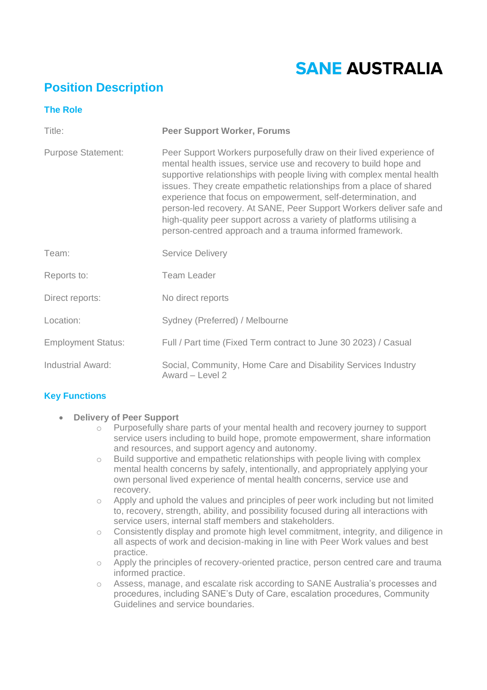# **SANE AUSTRALIA**

# **Position Description**

| <b>The Role</b>           |                                                                                                                                                                                                                                                                                                                                                                                                                                                                                                                                                                     |
|---------------------------|---------------------------------------------------------------------------------------------------------------------------------------------------------------------------------------------------------------------------------------------------------------------------------------------------------------------------------------------------------------------------------------------------------------------------------------------------------------------------------------------------------------------------------------------------------------------|
| Title:                    | <b>Peer Support Worker, Forums</b>                                                                                                                                                                                                                                                                                                                                                                                                                                                                                                                                  |
| <b>Purpose Statement:</b> | Peer Support Workers purposefully draw on their lived experience of<br>mental health issues, service use and recovery to build hope and<br>supportive relationships with people living with complex mental health<br>issues. They create empathetic relationships from a place of shared<br>experience that focus on empowerment, self-determination, and<br>person-led recovery. At SANE, Peer Support Workers deliver safe and<br>high-quality peer support across a variety of platforms utilising a<br>person-centred approach and a trauma informed framework. |
| Team:                     | <b>Service Delivery</b>                                                                                                                                                                                                                                                                                                                                                                                                                                                                                                                                             |
| Reports to:               | <b>Team Leader</b>                                                                                                                                                                                                                                                                                                                                                                                                                                                                                                                                                  |
| Direct reports:           | No direct reports                                                                                                                                                                                                                                                                                                                                                                                                                                                                                                                                                   |
| Location:                 | Sydney (Preferred) / Melbourne                                                                                                                                                                                                                                                                                                                                                                                                                                                                                                                                      |
| <b>Employment Status:</b> | Full / Part time (Fixed Term contract to June 30 2023) / Casual                                                                                                                                                                                                                                                                                                                                                                                                                                                                                                     |
| <b>Industrial Award:</b>  | Social, Community, Home Care and Disability Services Industry<br>Award - Level 2                                                                                                                                                                                                                                                                                                                                                                                                                                                                                    |

# **Key Functions**

- **Delivery of Peer Support** 
	- $\overline{\circ}$  Purposefully share parts of your mental health and recovery journey to support service users including to build hope, promote empowerment, share information and resources, and support agency and autonomy.
	- o Build supportive and empathetic relationships with people living with complex mental health concerns by safely, intentionally, and appropriately applying your own personal lived experience of mental health concerns, service use and recovery.
	- o Apply and uphold the values and principles of peer work including but not limited to, recovery, strength, ability, and possibility focused during all interactions with service users, internal staff members and stakeholders.
	- o Consistently display and promote high level commitment, integrity, and diligence in all aspects of work and decision-making in line with Peer Work values and best practice.
	- o Apply the principles of recovery-oriented practice, person centred care and trauma informed practice.
	- o Assess, manage, and escalate risk according to SANE Australia's processes and procedures, including SANE's Duty of Care, escalation procedures, Community Guidelines and service boundaries.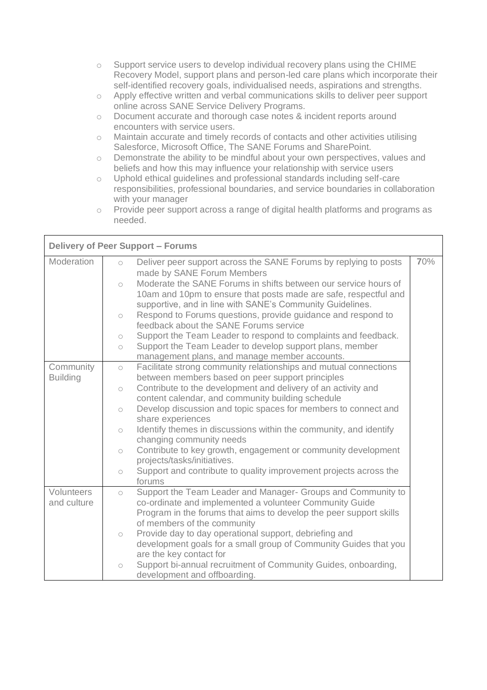- o Support service users to develop individual recovery plans using the CHIME Recovery Model, support plans and person-led care plans which incorporate their self-identified recovery goals, individualised needs, aspirations and strengths.
- o Apply effective written and verbal communications skills to deliver peer support online across SANE Service Delivery Programs.
- o Document accurate and thorough case notes & incident reports around encounters with service users.
- o Maintain accurate and timely records of contacts and other activities utilising Salesforce, Microsoft Office, The SANE Forums and SharePoint.
- o Demonstrate the ability to be mindful about your own perspectives, values and beliefs and how this may influence your relationship with service users
- o Uphold ethical guidelines and professional standards including self-care responsibilities, professional boundaries, and service boundaries in collaboration with your manager
- o Provide peer support across a range of digital health platforms and programs as needed.

| <b>Delivery of Peer Support - Forums</b> |            |                                                                                                                                     |     |  |
|------------------------------------------|------------|-------------------------------------------------------------------------------------------------------------------------------------|-----|--|
| Moderation                               | $\circ$    | Deliver peer support across the SANE Forums by replying to posts                                                                    | 70% |  |
|                                          |            | made by SANE Forum Members                                                                                                          |     |  |
|                                          | $\bigcirc$ | Moderate the SANE Forums in shifts between our service hours of<br>10am and 10pm to ensure that posts made are safe, respectful and |     |  |
|                                          |            | supportive, and in line with SANE's Community Guidelines.                                                                           |     |  |
|                                          | $\circ$    | Respond to Forums questions, provide guidance and respond to<br>feedback about the SANE Forums service                              |     |  |
|                                          | $\bigcirc$ | Support the Team Leader to respond to complaints and feedback.                                                                      |     |  |
|                                          | $\bigcirc$ | Support the Team Leader to develop support plans, member<br>management plans, and manage member accounts.                           |     |  |
| Community                                | $\circ$    | Facilitate strong community relationships and mutual connections                                                                    |     |  |
| <b>Building</b>                          |            | between members based on peer support principles                                                                                    |     |  |
|                                          | $\circ$    | Contribute to the development and delivery of an activity and                                                                       |     |  |
|                                          |            | content calendar, and community building schedule                                                                                   |     |  |
|                                          | $\circ$    | Develop discussion and topic spaces for members to connect and<br>share experiences                                                 |     |  |
|                                          | $\circ$    | Identify themes in discussions within the community, and identify<br>changing community needs                                       |     |  |
|                                          | $\circ$    | Contribute to key growth, engagement or community development<br>projects/tasks/initiatives.                                        |     |  |
|                                          | $\circ$    | Support and contribute to quality improvement projects across the<br>forums                                                         |     |  |
| <b>Volunteers</b>                        | $\circ$    | Support the Team Leader and Manager- Groups and Community to                                                                        |     |  |
| and culture                              |            | co-ordinate and implemented a volunteer Community Guide                                                                             |     |  |
|                                          |            | Program in the forums that aims to develop the peer support skills                                                                  |     |  |
|                                          |            | of members of the community                                                                                                         |     |  |
|                                          | $\bigcirc$ | Provide day to day operational support, debriefing and                                                                              |     |  |
|                                          |            | development goals for a small group of Community Guides that you<br>are the key contact for                                         |     |  |
|                                          | $\circ$    | Support bi-annual recruitment of Community Guides, onboarding,<br>development and offboarding.                                      |     |  |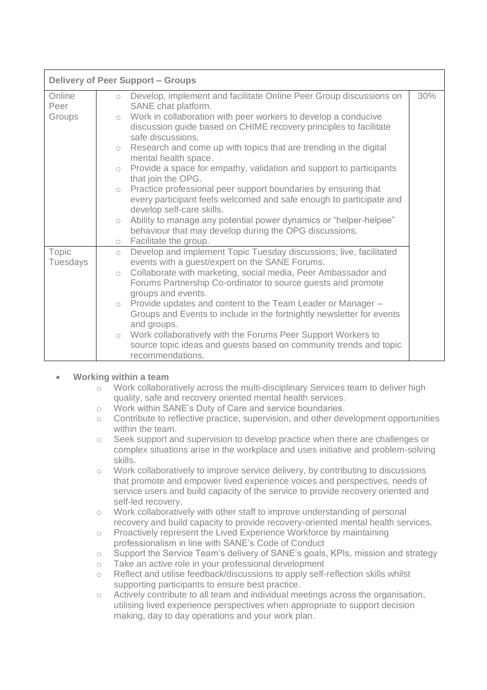| <b>Delivery of Peer Support - Groups</b> |                                                                                                                                                                                                                                                                                                                                                                                                                                                                                                                                                                                                                                                                           |     |  |  |
|------------------------------------------|---------------------------------------------------------------------------------------------------------------------------------------------------------------------------------------------------------------------------------------------------------------------------------------------------------------------------------------------------------------------------------------------------------------------------------------------------------------------------------------------------------------------------------------------------------------------------------------------------------------------------------------------------------------------------|-----|--|--|
| Online<br>Peer<br>Groups                 | Develop, implement and facilitate Online Peer Group discussions on<br>$\circ$<br>SANE chat platform.<br>Work in collaboration with peer workers to develop a conducive<br>$\bigcirc$<br>discussion guide based on CHIME recovery principles to facilitate<br>safe discussions.<br>Research and come up with topics that are trending in the digital<br>$\circ$<br>mental health space.<br>Provide a space for empathy, validation and support to participants<br>$\bigcirc$<br>that join the OPG.<br>o Practice professional peer support boundaries by ensuring that<br>every participant feels welcomed and safe enough to participate and<br>develop self-care skills. | 30% |  |  |
|                                          | Ability to manage any potential power dynamics or "helper-helpee"<br>$\bigcirc$<br>behaviour that may develop during the OPG discussions.<br>o Facilitate the group.                                                                                                                                                                                                                                                                                                                                                                                                                                                                                                      |     |  |  |
| Topic<br>Tuesdays                        | Develop and implement Topic Tuesday discussions; live, facilitated<br>$\bigcirc$<br>events with a guest/expert on the SANE Forums.<br>Collaborate with marketing, social media, Peer Ambassador and<br>$\bigcirc$<br>Forums Partnership Co-ordinator to source guests and promote<br>groups and events.<br>Provide updates and content to the Team Leader or Manager -<br>$\bigcirc$<br>Groups and Events to include in the fortnightly newsletter for events<br>and groups.<br>Work collaboratively with the Forums Peer Support Workers to<br>$\bigcirc$<br>source topic ideas and guests based on community trends and topic<br>recommendations.                       |     |  |  |

#### • **Working within a team**

- o Work collaboratively across the multi-disciplinary Services team to deliver high quality, safe and recovery oriented mental health services.
- o Work within SANE's Duty of Care and service boundaries.
- o Contribute to reflective practice, supervision, and other development opportunities within the team.
- o Seek support and supervision to develop practice when there are challenges or complex situations arise in the workplace and uses initiative and problem-solving skills.
- o Work collaboratively to improve service delivery, by contributing to discussions that promote and empower lived experience voices and perspectives, needs of service users and build capacity of the service to provide recovery oriented and self-led recovery.
- o Work collaboratively with other staff to improve understanding of personal recovery and build capacity to provide recovery-oriented mental health services.
- o Proactively represent the Lived Experience Workforce by maintaining professionalism in line with SANE's Code of Conduct
- o Support the Service Team's delivery of SANE's goals, KPIs, mission and strategy
- o Take an active role in your professional development
- o Reflect and utilise feedback/discussions to apply self-reflection skills whilst supporting participants to ensure best practice.
- o Actively contribute to all team and individual meetings across the organisation, utilising lived experience perspectives when appropriate to support decision making, day to day operations and your work plan.